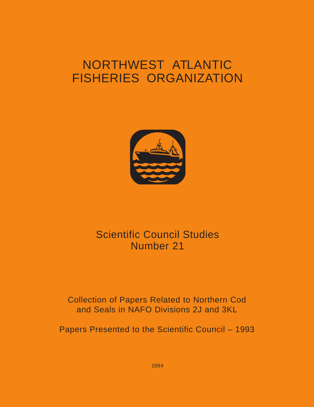# <span id="page-0-0"></span>NORTHWEST ATLANTIC FISHERIES ORGANIZATION



## Scientific Council Studies Number 21

### Collection of Papers Related to Northern Cod and Seals in NAFO Divisions 2J and 3KL

Papers Presented to the Scientific Council – 1993

1994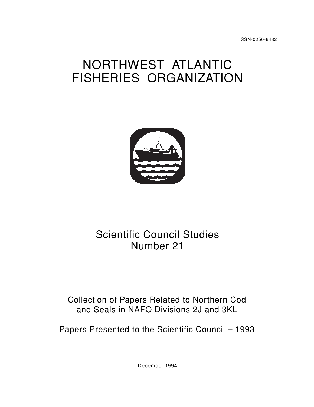# NORTHWEST ATLANTIC FISHERIES ORGANIZATION



## Scientific Council Studies Number 21

### Collection of Papers Related to Northern Cod and Seals in NAFO Divisions 2J and 3KL

Papers Presented to the Scientific Council – 1993

December 1994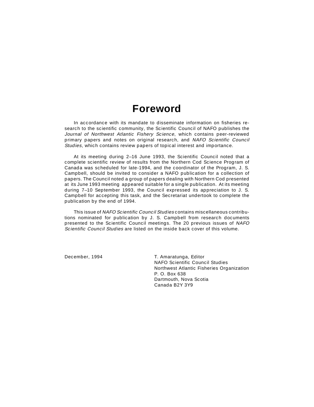### **Foreword**

In accordance with its mandate to disseminate information on fisheries research to the scientific community, the Scientific Council of NAFO publishes the Journal of Northwest Atlantic Fishery Science, which contains peer-reviewed primary papers and notes on original research, and NAFO Scientific Council Studies, which contains review papers of topical interest and importance.

At its meeting during 2–16 June 1993, the Scientific Council noted that a complete scientific review of results from the Northern Cod Science Program of Canada was scheduled for late-1994, and the coordinator of the Program, J. S. Campbell, should be invited to consider a NAFO publication for a collection of papers. The Council noted a group of papers dealing with Northern Cod presented at its June 1993 meeting appeared suitable for a single publication. At its meeting during 7–10 September 1993, the Council expressed its appreciation to J. S. Campbell for accepting this task, and the Secretariat undertook to complete the publication by the end of 1994.

This issue of NAFO Scientific Council Studies contains miscellaneous contributions nominated for publication by J. S. Campbell from research documents presented to the Scientific Council meetings. The 20 previous issues of NAFO Scientific Council Studies are listed on the inside back cover of this volume.

December, 1994 **T. Amaratunga, Editor** NAFO Scientific Council Studies Northwest Atlantic Fisheries Organization P. O. Box 638 Dartmouth, Nova Scotia Canada B2Y 3Y9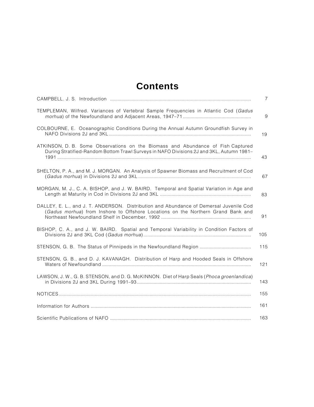### **Contents**

|                                                                                                                                                                             | $\overline{7}$ |
|-----------------------------------------------------------------------------------------------------------------------------------------------------------------------------|----------------|
| TEMPLEMAN, Wilfred. Variances of Vertebral Sample Frequencies in Atlantic Cod (Gadus                                                                                        | 9              |
| COLBOURNE, E. Oceanographic Conditions During the Annual Autumn Groundfish Survey in                                                                                        | 19             |
| ATKINSON, D. B. Some Observations on the Biomass and Abundance of Fish Captured<br>During Stratified-Random Bottom Trawl Surveys in NAFO Divisions 2J and 3KL, Autumn 1981- | 43             |
| SHELTON, P. A., and M. J. MORGAN. An Analysis of Spawner Biomass and Recruitment of Cod                                                                                     | 67             |
| MORGAN, M. J., C. A. BISHOP, and J. W. BAIRD. Temporal and Spatial Variation in Age and                                                                                     | 83             |
| DALLEY, E. L., and J. T. ANDERSON. Distribution and Abundance of Demersal Juvenile Cod<br>(Gadus morhua) from Inshore to Offshore Locations on the Northern Grand Bank and  | 91             |
| BISHOP, C. A., and J. W. BAIRD. Spatial and Temporal Variability in Condition Factors of                                                                                    | 105            |
|                                                                                                                                                                             | 115            |
| STENSON, G. B., and D. J. KAVANAGH. Distribution of Harp and Hooded Seals in Offshore                                                                                       | 121            |
| LAWSON, J. W., G. B. STENSON, and D. G. McKINNON. Diet of Harp Seals (Phoca groenlandica)                                                                                   | 143            |
|                                                                                                                                                                             | 155            |
|                                                                                                                                                                             | 161            |
|                                                                                                                                                                             | 163            |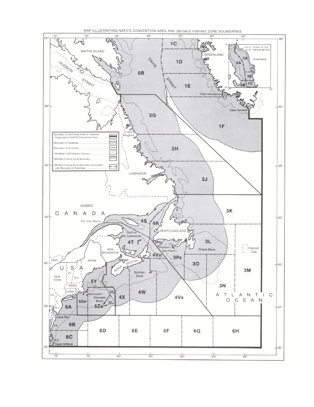